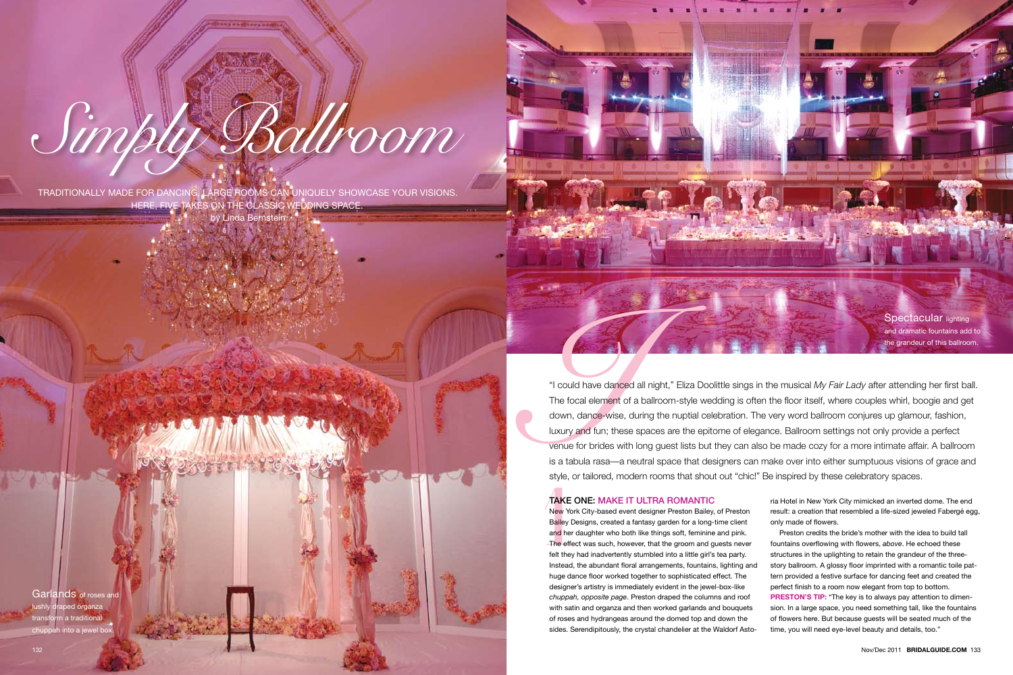Caption here

photgraphy: john labbe

**I**<br> **I** could have danced all night," Eliza Doolittle sings in the musical *My Fair Lady* after attending her first ball.<br>
The focal element of a ballroom-style wedding is often the floor itself, where couples whirl, boog The focal element of a ballroom-style wedding is often the floor itself, where couples whirl, boogie and get down, dance-wise, during the nuptial celebration. The very word ballroom conjures up glamour, fashion, luxury and fun; these spaces are the epitome of elegance. Ballroom settings not only provide a perfect venue for brides with long guest lists but they can also be made cozy for a more intimate affair. A ballroom is a tabula rasa—a neutral space that designers can make over into either sumptuous visions of grace and style, or tailored, modern rooms that shout out "chic!" Be inspired by these celebratory spaces.

transform a traditional chuppah into a jewel boy



Traditionally made for dancing, large rooms can uniquely showcase your visions. Here, five takes on the classic wedding space..

> style, Or<br> **TAKE C**<br>
> New York<br>
> Bailey De<br>
> and her d<br>
> The effec<br>
> felt they l<br>
> Instead. t New York City-based event designer Preston Bailey, of Preston Bailey Designs, created a fantasy garden for a long-time client and her daughter who both like things soft, feminine and pink. The effect was such, however, that the groom and guests never felt they had inadvertently stumbled into a little girl's tea party. Instead, the abundant floral arrangements, fountains, lighting and huge dance floor worked together to sophisticated effect. The designer's artistry is immediately evident in the jewel-box-like *chuppah, opposite page*. Preston draped the columns and roof with satin and organza and then worked garlands and bouquets of roses and hydrangeas around the domed top and down the sides. Serendipitously, the crystal chandelier at the Waldorf Asto-

by Linda Bernstein

# *Simply Ballroom*

Garlands of roses and lushly draped organza

## Take one: Make it Ultra Romantic

ria Hotel in New York City mimicked an inverted dome. The end result: a creation that resembled a life-sized jeweled Fabergé egg, only made of flowers.

Preston credits the bride's mother with the idea to build tall fountains overflowing with flowers, *above*. He echoed these structures in the uplighting to retain the grandeur of the threestory ballroom. A glossy floor imprinted with a romantic toile pattern provided a festive surface for dancing feet and created the perfect finish to a room now elegant from top to bottom. **PRESTON'S TIP:** "The key is to always pay attention to dimension. In a large space, you need something tall, like the fountains of flowers here. But because guests will be seated much of the

time, you will need eye-level beauty and details, too."